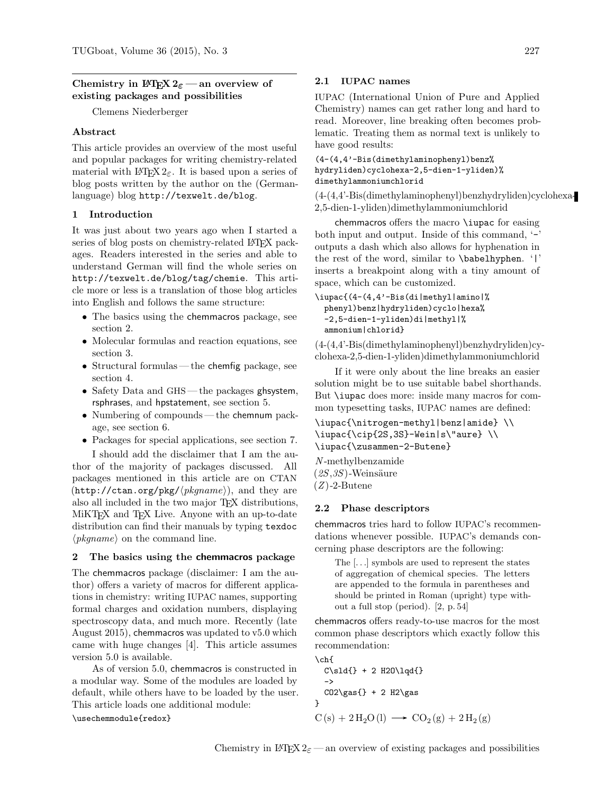## Chemistry in LATEX  $2\varepsilon$  — an overview of existing packages and possibilities

Clemens Niederberger

### Abstract

This article provides an overview of the most useful and popular packages for writing chemistry-related material with LAT<sub>EX</sub> 2<sub>ε</sub>. It is based upon a series of blog posts written by the author on the (Germanlanguage) blog <http://texwelt.de/blog>.

### 1 Introduction

It was just about two years ago when I started a series of blog posts on chemistry-related LATEX packages. Readers interested in the series and able to understand German will find the whole series on <http://texwelt.de/blog/tag/chemie>. This article more or less is a translation of those blog articles into English and follows the same structure:

- The basics using the chemmacros package, see section [2.](#page-0-0)
- Molecular formulas and reaction equations, see section [3.](#page-1-0)
- Structural formulas— the chemfig package, see section [4.](#page-2-0)
- Safety Data and GHS the packages ghsystem, rsphrases, and hpstatement, see section [5.](#page-3-0)
- Numbering of compounds the chemnum package, see section [6.](#page-4-0)
- Packages for special applications, see section [7.](#page-4-1)

I should add the disclaimer that I am the author of the majority of packages discussed. All packages mentioned in this article are on CTAN  $(\text{http://ctan.org/pkg/\langle pkgname\rangle}),$  and they are also all included in the two major TEX distributions, MiKT<sub>F</sub>X and T<sub>F</sub>X Live. Anyone with an up-to-date distribution can find their manuals by typing texdoc  $\langle pkgname \rangle$  on the command line.

#### <span id="page-0-0"></span>2 The basics using the chemmacros package

The chemmacros package (disclaimer: I am the author) offers a variety of macros for different applications in chemistry: writing IUPAC names, supporting formal charges and oxidation numbers, displaying spectroscopy data, and much more. Recently (late August 2015), chemmacros was updated to v5.0 which came with huge changes [\[4\]](#page-6-0). This article assumes version 5.0 is available.

As of version 5.0, chemmacros is constructed in a modular way. Some of the modules are loaded by default, while others have to be loaded by the user. This article loads one additional module:

\usechemmodule{redox}

### 2.1 IUPAC names

IUPAC (International Union of Pure and Applied Chemistry) names can get rather long and hard to read. Moreover, line breaking often becomes problematic. Treating them as normal text is unlikely to have good results:

(4-(4,4'-Bis(dimethylaminophenyl)benz% hydryliden)cyclohexa-2,5-dien-1-yliden)% dimethylammoniumchlorid

(4-(4,4'-Bis(dimethylaminophenyl)benzhydryliden)cyclohexa-2,5-dien-1-yliden)dimethylammoniumchlorid

chemmacros offers the macro \iupac for easing both input and output. Inside of this command, '-' outputs a dash which also allows for hyphenation in the rest of the word, similar to \babelhyphen. '|' inserts a breakpoint along with a tiny amount of space, which can be customized.

```
\iupac{(4-(4,4'-Bis(di|methyl|amino|%
 phenyl)benz|hydryliden)cyclo|hexa%
 -2,5-dien-1-yliden)di|methyl|%
  ammonium|chlorid}
```
(4-(4,4'-Bis(dimethylaminophenyl)benzhydryliden)cyclohexa-2,5-dien-1-yliden)dimethylammoniumchlorid

If it were only about the line breaks an easier solution might be to use suitable babel shorthands. But \iupac does more: inside many macros for common typesetting tasks, IUPAC names are defined:

```
\iupac{\nitrogen-methyl|benz|amide} \\
\iupac{\cip{2S,3S}-Wein|s\"aure} \\
\iupac{\zusammen-2-Butene}
```
N -methylbenzamide  $(2S,3S)$ -Weinsäure  $(Z)$ -2-Butene

#### 2.2 Phase descriptors

chemmacros tries hard to follow IUPAC's recommendations whenever possible. IUPAC's demands concerning phase descriptors are the following:

The [. . .] symbols are used to represent the states of aggregation of chemical species. The letters are appended to the formula in parentheses and should be printed in Roman (upright) type without a full stop (period). [\[2,](#page-6-1) p. 54]

chemmacros offers ready-to-use macros for the most common phase descriptors which exactly follow this recommendation:

```
\ch{f}C\sld{} + 2 H2O\lqd{}
  \rightarrowCO2\gas{}+2 H2\gas{}}
C(s) + 2H_2O(l) \longrightarrow CO_2(g) + 2H_2(g)
```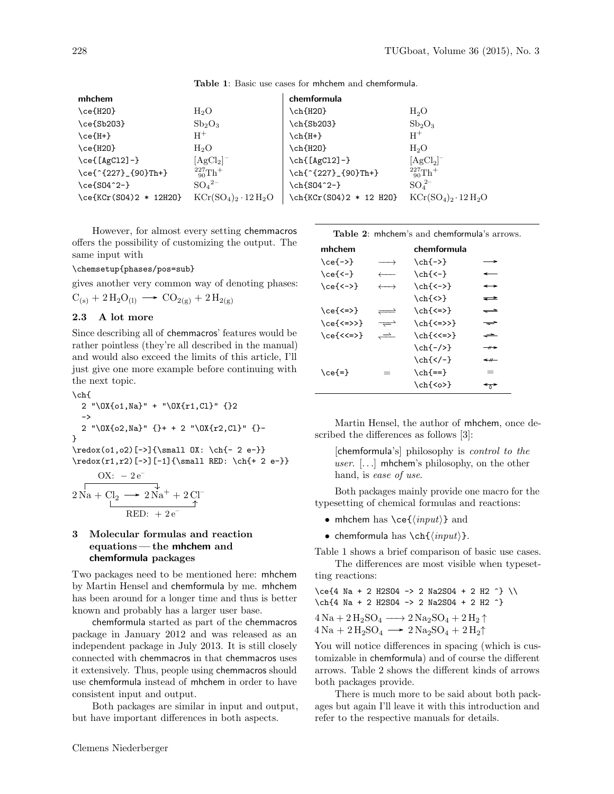| mhchem                                |                                | chemformula             |                              |
|---------------------------------------|--------------------------------|-------------------------|------------------------------|
| $\ce{\text{H20}}$                     | $H_2O$                         | \ch{H20}                | $H_2O$                       |
| $\ce{\text{Sb203}}$                   | Sb <sub>2</sub> O <sub>3</sub> | \ch{Sb203}              | $Sb_2O_3$                    |
| $\ce{\texttt{H+}}$                    | $\rm{H}^{+}$                   | \ch{H+}                 | $H^+$                        |
| \ce{H20}                              | $H_2O$                         | \ch{H20}                | H <sub>2</sub> O             |
| $\ce{\texttt{[AgCl2]}-\}$             | $[AgCl2]$ <sup>-</sup>         | \ch{[AgC12]-}           | $[AgCl2]-$                   |
| \ce{^{227}_{90}Th+}                   | $^{227}_{90}Th+$               | \ch{^{227}_{90}Th+}     | $^{227}_{90}Th$ <sup>+</sup> |
| \ce{S04^2-}                           | $SO_4{}^{2-}$                  | \ch{S04^2-}             | $SO_4^{2-}$                  |
| $\cethinspace$ \ce{KCr(S04)2 * 12H20} | $KCr(SO4)2 \cdot 12 H2O$       | \ch{KCr(SO4)2 * 12 H2O} | $KCr(SO4)2 \cdot 12 H2O$     |

<span id="page-1-1"></span>Table 1: Basic use cases for mhchem and chemformula.

However, for almost every setting chemmacros offers the possibility of customizing the output. The same input with

\chemsetup{phases/pos=sub}

gives another very common way of denoting phases:

$$
C_{(s)} + 2\,H_2O_{(l)} \longrightarrow CO_{2(g)} + 2\,H_{2(g)}
$$

## 2.3 A lot more

Since describing all of chemmacros' features would be rather pointless (they're all described in the manual) and would also exceed the limits of this article, I'll just give one more example before continuing with the next topic.

\ch{ 2 "\OX{o1,Na}" + "\OX{r1,Cl}" {}2 -> 2 "\OX{o2,Na}" {}+ + 2 "\OX{r2,Cl}" {}- } \redox(o1,o2)[->]{\small OX: \ch{- 2 e-}} \redox(r1,r2)[->][-1]{\small RED: \ch{+ 2 e-}}

$$
\begin{array}{c}\n\text{OX:} & -2\,\text{e}^-\n\\ \n2\,\text{Na} + \text{Cl}_2 \longrightarrow 2\,\text{Na}^+ + 2\,\text{Cl}^-\n\\ \n\text{RED:} & +2\,\text{e}^-\n\end{array}
$$

# <span id="page-1-0"></span>3 Molecular formulas and reaction equations — the mhchem and chemformula packages

Two packages need to be mentioned here: mhchem by Martin Hensel and chemformula by me. mhchem has been around for a longer time and thus is better known and probably has a larger user base.

chemformula started as part of the chemmacros package in January 2012 and was released as an independent package in July 2013. It is still closely connected with chemmacros in that chemmacros uses it extensively. Thus, people using chemmacros should use chemformula instead of mhchem in order to have consistent input and output.

Both packages are similar in input and output, but have important differences in both aspects.

<span id="page-1-2"></span>

| <b>Table 2: mhchem's and chemformula's arrows.</b> |
|----------------------------------------------------|
|----------------------------------------------------|

| mhchem              |                       | chemformula              |                          |
|---------------------|-----------------------|--------------------------|--------------------------|
| $\ce{\rightarrow\}$ | $\longrightarrow$     | $\ch{-}$                 | — >                      |
| $\ce{\zeta - \}$    | $\longleftarrow$      | $\ch{-}$                 | $\overline{\phantom{a}}$ |
| $\ce{\leftarrow}$   | $\longleftrightarrow$ | $\ch{<-}$                | $\longrightarrow$        |
|                     |                       | $\ch\{\langle \rangle\}$ | ╼                        |
| $\ce{\leq}$         | $\rightleftharpoons$  | $\ch{<=}$                | $\equiv$                 |
| $\ce{\leq>>}$       | $\rightleftharpoons$  | $\ch{<=}>>$              | $\equiv$                 |
| $\ce{\lt}$ =>}      | $\rightleftharpoons$  | \ch{<<=>}                | 一                        |
|                     |                       | $\ch{-}/$                | $-$ + $\rightarrow$      |
|                     |                       | $\ch{<}-$                | $\leftarrow$             |
| $\ce{\}$            | $=$                   | $\ch{=}=}$               | $=$                      |
|                     |                       | $\ch{}$                  | $\rightarrow$            |

Martin Hensel, the author of mhchem, once described the differences as follows [\[3\]](#page-6-2):

[chemformula's] philosophy is *control to the* user.  $[...]$  mhchem's philosophy, on the other hand, is ease of use.

Both packages mainly provide one macro for the typesetting of chemical formulas and reactions:

- mhchem has  $\ce{\langle input \rangle\}$  and
- chemformula has  $\ch{*input*}.$

Table [1](#page-1-1) shows a brief comparison of basic use cases. The differences are most visible when typeset-

ting reactions:

 $\cethinspace \cethinspace \cethinspace -4$  Na + 2 H2SO4 -> 2 Na2SO4 + 2 H2 ^} \\ \ch{4 Na + 2 H2SO4 -> 2 Na2SO4 + 2 H2 ^}

$$
4\,\mathrm{Na} + 2\,\mathrm{H}_2\mathrm{SO}_4 \longrightarrow 2\,\mathrm{Na}_2\mathrm{SO}_4 + 2\,\mathrm{H}_2\uparrow
$$
  

$$
4\,\mathrm{Na} + 2\,\mathrm{H}_2\mathrm{SO}_4 \longrightarrow 2\,\mathrm{Na}_2\mathrm{SO}_4 + 2\,\mathrm{H}_2\uparrow
$$

You will notice differences in spacing (which is customizable in chemformula) and of course the different arrows. Table [2](#page-1-2) shows the different kinds of arrows both packages provide.

There is much more to be said about both packages but again I'll leave it with this introduction and refer to the respective manuals for details.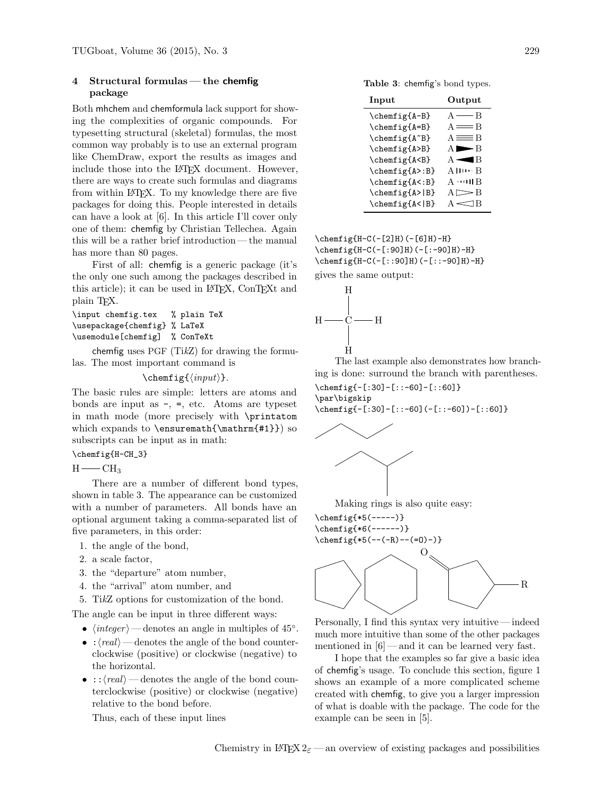### <span id="page-2-0"></span>4 Structural formulas— the chemfig package

Both mhchem and chemformula lack support for showing the complexities of organic compounds. For typesetting structural (skeletal) formulas, the most common way probably is to use an external program like ChemDraw, export the results as images and include those into the LAT<sub>EX</sub> document. However, there are ways to create such formulas and diagrams from within LATEX. To my knowledge there are five packages for doing this. People interested in details can have a look at [\[6\]](#page-6-3). In this article I'll cover only one of them: chemfig by Christian Tellechea. Again this will be a rather brief introduction — the manual has more than 80 pages.

First of all: chemfig is a generic package (it's the only one such among the packages described in this article); it can be used in LAT<sub>EX</sub>, ConT<sub>EXt</sub> and plain TEX.

```
\input chemfig.tex % plain TeX
\usepackage{chemfig} % LaTeX
\usemodule[chemfig] % ConTeXt
```
chemfig uses PGF (TikZ) for drawing the formulas. The most important command is

 $\text{chemfig}{\langle input \rangle}.$ 

The basic rules are simple: letters are atoms and bonds are input as  $-$ ,  $=$ , etc. Atoms are typeset in math mode (more precisely with \printatom which expands to \ensuremath{\mathrm{#1}}) so subscripts can be input as in math:

\chemfig{H-CH\_3}

 $H$  –  $CH<sub>3</sub>$ 

There are a number of different bond types, shown in table [3.](#page-2-1) The appearance can be customized with a number of parameters. All bonds have an optional argument taking a comma-separated list of five parameters, in this order:

- 1. the angle of the bond,
- 2. a scale factor,
- 3. the "departure" atom number,
- 4. the "arrival" atom number, and
- 5. TikZ options for customization of the bond.

The angle can be input in three different ways:

- $\langle \text{integer} \rangle$  denotes an angle in multiples of 45°.
- : $\langle real \rangle$  denotes the angle of the bond counterclockwise (positive) or clockwise (negative) to the horizontal.
- :: $\langle real \rangle$  denotes the angle of the bond counterclockwise (positive) or clockwise (negative) relative to the bond before.

Thus, each of these input lines

<span id="page-2-1"></span>Table 3: chemfig's bond types.

| Input                                                                    | Output                                          |
|--------------------------------------------------------------------------|-------------------------------------------------|
| \chemfig{A-B}                                                            | $A \longrightarrow B$                           |
| \chemfig{A=B}                                                            | $A \equiv B$                                    |
| \chemfig{A~B}                                                            | $A \equiv B$                                    |
| \chemfig{A>B}                                                            | $A \blacktriangleright B$                       |
| \chemfig{A <b}< td=""><td><math>A \blacktriangleleft R</math></td></b}<> | $A \blacktriangleleft R$                        |
| \chemfig{A>:B}                                                           | $A \mathbf{H} \cdots \mathbf{B}$                |
| \chemfig{A<:B}                                                           | $A \cdot \cdot \cdot \cdot \cdot \cdot \cdot B$ |
| \chemfig{A> B}                                                           | $A \geq B$                                      |
| \chemfig{A< B}                                                           | $\Delta \ll$<br>B                               |

 $\Lambda(-[2]H)(-[6]H)-H$ \chemfig{H-C(-[:90]H)(-[:-90]H)-H} \chemfig{H-C(-[::90]H)(-[::-90]H)-H} gives the same output:



The last example also demonstrates how branching is done: surround the branch with parentheses.

\chemfig{-[:30]-[::-60]-[::60]}

\par\bigskip \chemfig{-[:30]-[::-60](-[::-60])-[::60]}



Making rings is also quite easy:



Personally, I find this syntax very intuitive — indeed much more intuitive than some of the other packages mentioned in [\[6\]](#page-6-3)— and it can be learned very fast.

I hope that the examples so far give a basic idea of chemfig's usage. To conclude this section, figure [1](#page-3-1) shows an example of a more complicated scheme created with chemfig, to give you a larger impression of what is doable with the package. The code for the example can be seen in [\[5\]](#page-6-4).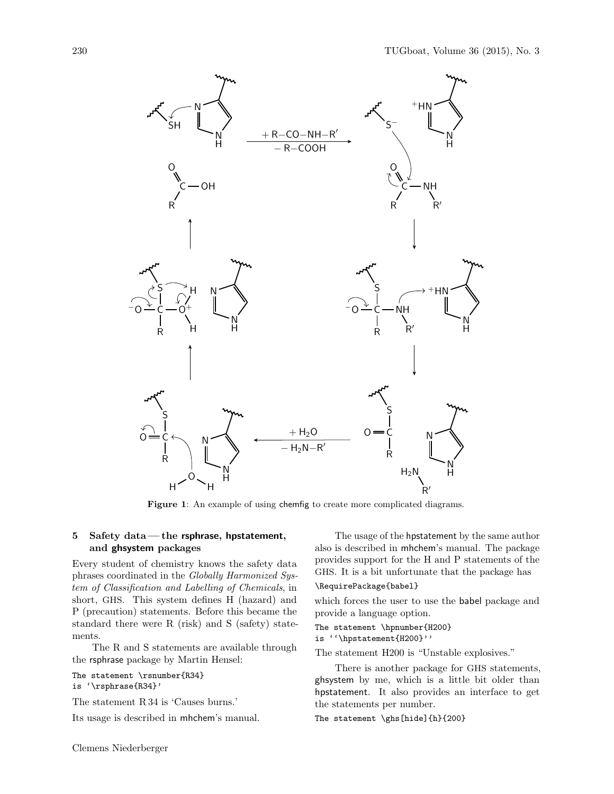

<span id="page-3-1"></span>Figure 1: An example of using chemfig to create more complicated diagrams.

### <span id="page-3-0"></span>5 Safety data — the rsphrase, hpstatement, and ghsystem packages

Every student of chemistry knows the safety data phrases coordinated in the Globally Harmonized System of Classification and Labelling of Chemicals, in short, GHS. This system defines H (hazard) and P (precaution) statements. Before this became the standard there were R (risk) and S (safety) statements.

The R and S statements are available through the rsphrase package by Martin Hensel:

```
The statement \rsnumber{R34}
```

```
is '\rsphrase{R34}'
```
The statement R 34 is 'Causes burns.'

Its usage is described in mhchem's manual.

The usage of the hpstatement by the same author also is described in mhchem's manual. The package provides support for the H and P statements of the GHS. It is a bit unfortunate that the package has

#### \RequirePackage{babel}

which forces the user to use the babel package and provide a language option.

The statement \hpnumber{H200} is ''\hpstatement{H200}''

The statement H200 is "Unstable explosives."

There is another package for GHS statements, ghsystem by me, which is a little bit older than hpstatement. It also provides an interface to get the statements per number.

The statement \ghs[hide]{h}{200}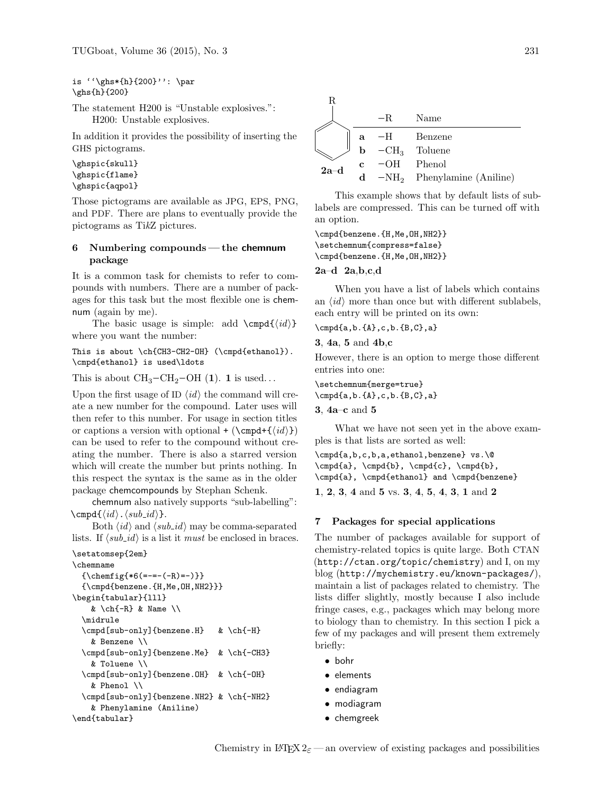is ''\ghs\*{h}{200}'': \par \ghs{h}{200}

The statement H200 is "Unstable explosives.": H200: Unstable explosives.

In addition it provides the possibility of inserting the GHS pictograms.

```
\ghspic{skull}
\ghspic{flame}
\ghspic{aqpol}
```
Those pictograms are available as JPG, EPS, PNG, and PDF. There are plans to eventually provide the pictograms as TikZ pictures.

### <span id="page-4-0"></span>6 Numbering compounds — the chemnum package

It is a common task for chemists to refer to compounds with numbers. There are a number of packages for this task but the most flexible one is chemnum (again by me).

The basic usage is simple: add  $\emptyset$ where you want the number:

This is about \ch{CH3-CH2-OH} (\cmpd{ethanol}). \cmpd{ethanol} is used\ldots

This is about  $\text{CH}_3-\text{CH}_2-\text{OH}$  (1). 1 is used...

Upon the first usage of ID  $\langle id \rangle$  the command will create a new number for the compound. Later uses will then refer to this number. For usage in section titles or captions a version with optional + ( $\emptyset$ ) can be used to refer to the compound without creating the number. There is also a starred version which will create the number but prints nothing. In this respect the syntax is the same as in the older package chemcompounds by Stephan Schenk.

chemnum also natively supports "sub-labelling":  $\emptyset\{\langle id \rangle \ldots \langle sub_id \rangle\}.$ 

Both  $\langle id \rangle$  and  $\langle sub\_id \rangle$  may be comma-separated lists. If  $\langle sub\_id \rangle$  is a list it must be enclosed in braces.

```
\setatomsep{2em}
\chemname
 {\chemfig{*6([----(-R)=-)}}{\cmpd{benzene.{H,Me,OH,NH2}}}
\begin{tabular}{lll}
   & \ch{-R} & Name \Upsilon\midrule
  \cmpd[sub-only]{benzene.H} & \ch{-H}
   & Benzene \\
  \cmpd[sub-only]{benzene.Me} & \ch{-CH3}
   & Toluene \\
  \cmpd[sub-only]{benzene.OH} & \ch{-OH}
   & Phenol \\
  \cmpd[sub-only]{benzene.NH2} & \ch{-NH2}
   & Phenylamine (Aniline)
\end{tabular}
```

| R      |   |              |                                            |
|--------|---|--------------|--------------------------------------------|
|        |   | $-R$         | Name                                       |
|        | a |              | -H Benzene                                 |
|        | b |              | $-CH_3$ Toluene                            |
| $2a-d$ | c | $-OH$ Phenol |                                            |
|        |   |              | $d$ -NH <sub>2</sub> Phenylamine (Aniline) |

This example shows that by default lists of sublabels are compressed. This can be turned off with an option.

\cmpd{benzene.{H,Me,OH,NH2}} \setchemnum{compress=false} \cmpd{benzene.{H,Me,OH,NH2}}

### 2a–d 2a,b,c,d

When you have a list of labels which contains an  $\langle id \rangle$  more than once but with different sublabels, each entry will be printed on its own:

#### \cmpd{a,b.{A},c,b.{B,C},a}

#### 3, 4a, 5 and 4b,c

However, there is an option to merge those different entries into one:

\setchemnum{merge=true} \cmpd{a,b.{A},c,b.{B,C},a}

3, 4a–c and 5

What we have not seen yet in the above examples is that lists are sorted as well:

```
\cmpd{a,b,c,b,a,ethanol,benzene} vs.\@
\cmpd{a}, \cmpd{b}, \cmpd{c}, \cmpd{b},
\cmpd{a}, \cmpd{ethanol} and \cmpd{benzene}
```
1, 2, 3, 4 and 5 vs. 3, 4, 5, 4, 3, 1 and 2

### <span id="page-4-1"></span>7 Packages for special applications

The number of packages available for support of chemistry-related topics is quite large. Both CTAN (<http://ctan.org/topic/chemistry>) and I, on my blog (<http://mychemistry.eu/known-packages/>), maintain a list of packages related to chemistry. The lists differ slightly, mostly because I also include fringe cases, e.g., packages which may belong more to biology than to chemistry. In this section I pick a few of my packages and will present them extremely briefly:

- bohr
- elements
- endiagram
- modiagram
- chemgreek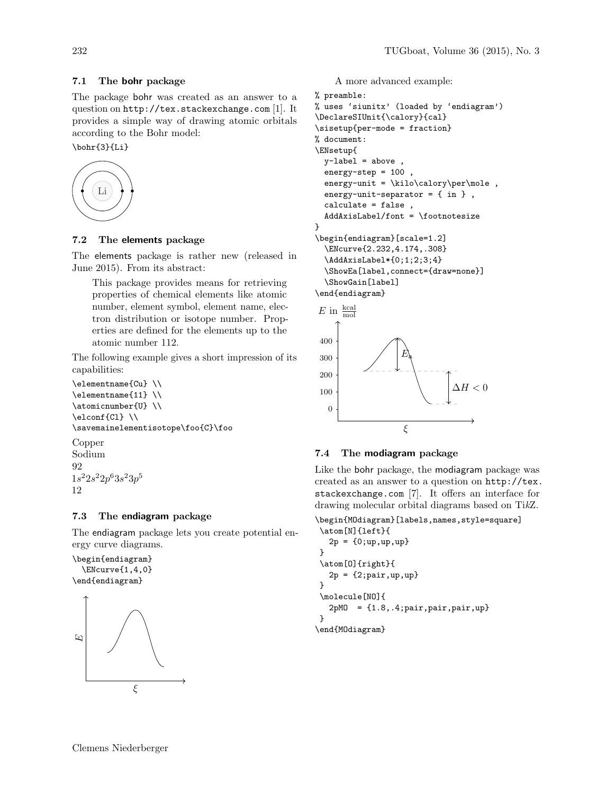# 7.1 The bohr package

The package bohr was created as an answer to a question on <http://tex.stackexchange.com> [\[1\]](#page-6-5). It provides a simple way of drawing atomic orbitals according to the Bohr model:

\bohr{3}{Li}



### 7.2 The elements package

The elements package is rather new (released in June 2015). From its abstract:

This package provides means for retrieving properties of chemical elements like atomic number, element symbol, element name, electron distribution or isotope number. Properties are defined for the elements up to the atomic number 112.

The following example gives a short impression of its capabilities:

```
\elementname{Cu} \\
\elementname{11} \\
\atomicnumber{U} \\
\elconf{Cl} \\
\savemainelementisotope\foo{C}\foo
```
Copper Sodium  $92$  $1s^22s^22p^63s^23p^5$ 12

# 7.3 The endiagram package

The endiagram package lets you create potential energy curve diagrams.

\begin{endiagram} \ENcurve{1,4,0} \end{endiagram}



A more advanced example:

```
% preamble:
% uses 'siunitx' (loaded by 'endiagram')
\DeclareSIUnit{\calory}{cal}
\sisetup{per-mode = fraction}
% document:
\ENsetup{
  y-label = above,
  energy-step = 100,
  energy-unit = \kilo\calory\perpmole,
  energy-unit-separator = { in } ,
  calculate = false ,
  AddAxisLabel/font = \footnotesize
}
\begin{endiagram}[scale=1.2]
  \ENcurve{2.232,4.174,.308}
  \AddAxisLabel*{0;1;2;3;4}
  \ShowEa[label,connect={draw=none}]
  \ShowGain[label]
\end{endiagram}
 E in \frac{\text{kcal}}{\text{mol}}
```


### 7.4 The modiagram package

Like the bohr package, the modiagram package was created as an answer to a question on [http://tex.](http://tex.stackexchange.com) [stackexchange.com](http://tex.stackexchange.com) [\[7\]](#page-6-6). It offers an interface for drawing molecular orbital diagrams based on TikZ.

```
\begin{MOdiagram}[labels,names,style=square]
 \atom[N]{left}{
   2p = \{0; up, up, up\}}
 \atom[O]{right}{
   2p = {2; pair, up, up}}
 \molecule[NO]{
   2pM0 = {1.8, .4; pair, pair, pair, up}}
\end{MOdiagram}
```